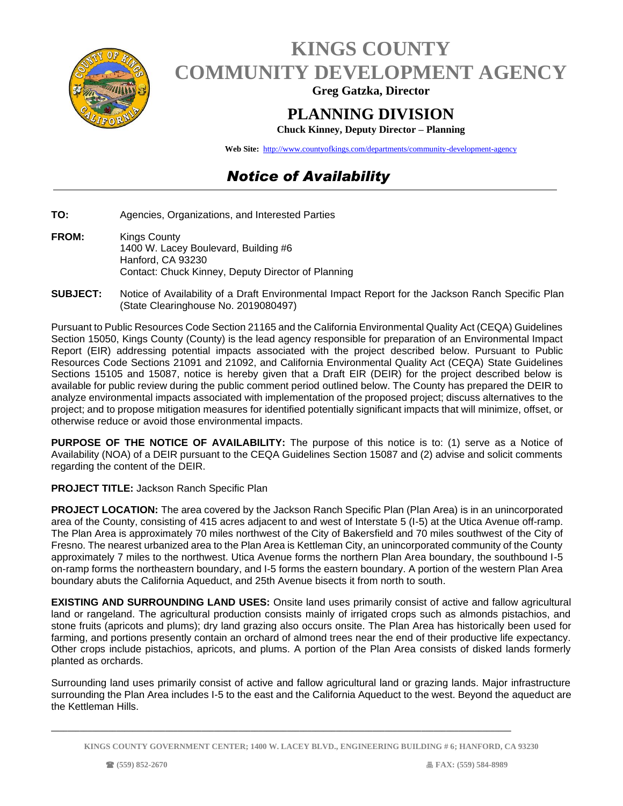

## **KINGS COUNTY COMMUNITY DEVELOPMENT AGENCY**

**Greg Gatzka, Director**

## **PLANNING DIVISION**

**Chuck Kinney, Deputy Director – Planning**

**Web Site:** <http://www.countyofkings.com/departments/community-development-agency>

## *Notice of Availability*

- **TO:** Agencies, Organizations, and Interested Parties
- **FROM:** Kings County 1400 W. Lacey Boulevard, Building #6 Hanford, CA 93230 Contact: Chuck Kinney, Deputy Director of Planning
- **SUBJECT:** Notice of Availability of a Draft Environmental Impact Report for the Jackson Ranch Specific Plan (State Clearinghouse No. 2019080497)

Pursuant to Public Resources Code Section 21165 and the California Environmental Quality Act (CEQA) Guidelines Section 15050, Kings County (County) is the lead agency responsible for preparation of an Environmental Impact Report (EIR) addressing potential impacts associated with the project described below. Pursuant to Public Resources Code Sections 21091 and 21092, and California Environmental Quality Act (CEQA) State Guidelines Sections 15105 and 15087, notice is hereby given that a Draft EIR (DEIR) for the project described below is available for public review during the public comment period outlined below. The County has prepared the DEIR to analyze environmental impacts associated with implementation of the proposed project; discuss alternatives to the project; and to propose mitigation measures for identified potentially significant impacts that will minimize, offset, or otherwise reduce or avoid those environmental impacts.

**PURPOSE OF THE NOTICE OF AVAILABILITY:** The purpose of this notice is to: (1) serve as a Notice of Availability (NOA) of a DEIR pursuant to the CEQA Guidelines Section 15087 and (2) advise and solicit comments regarding the content of the DEIR.

## **PROJECT TITLE:** Jackson Ranch Specific Plan

**PROJECT LOCATION:** The area covered by the Jackson Ranch Specific Plan (Plan Area) is in an unincorporated area of the County, consisting of 415 acres adjacent to and west of Interstate 5 (I-5) at the Utica Avenue off-ramp. The Plan Area is approximately 70 miles northwest of the City of Bakersfield and 70 miles southwest of the City of Fresno. The nearest urbanized area to the Plan Area is Kettleman City, an unincorporated community of the County approximately 7 miles to the northwest. Utica Avenue forms the northern Plan Area boundary, the southbound I-5 on-ramp forms the northeastern boundary, and I-5 forms the eastern boundary. A portion of the western Plan Area boundary abuts the California Aqueduct, and 25th Avenue bisects it from north to south.

**EXISTING AND SURROUNDING LAND USES:** Onsite land uses primarily consist of active and fallow agricultural land or rangeland. The agricultural production consists mainly of irrigated crops such as almonds pistachios, and stone fruits (apricots and plums); dry land grazing also occurs onsite. The Plan Area has historically been used for farming, and portions presently contain an orchard of almond trees near the end of their productive life expectancy. Other crops include pistachios, apricots, and plums. A portion of the Plan Area consists of disked lands formerly planted as orchards.

Surrounding land uses primarily consist of active and fallow agricultural land or grazing lands. Major infrastructure surrounding the Plan Area includes I-5 to the east and the California Aqueduct to the west. Beyond the aqueduct are the Kettleman Hills.

**\_\_\_\_\_\_\_\_\_\_\_\_\_\_\_\_\_\_\_\_\_\_\_\_\_\_\_\_\_\_\_\_\_\_\_\_\_\_\_\_\_\_\_\_\_\_\_\_\_\_\_\_\_\_\_\_\_\_\_\_\_\_\_\_\_\_\_\_\_\_\_\_\_\_\_\_\_\_\_\_\_\_\_\_\_\_\_\_\_\_\_\_\_\_\_\_\_\_\_\_\_\_\_\_\_\_\_\_\_\_\_\_\_**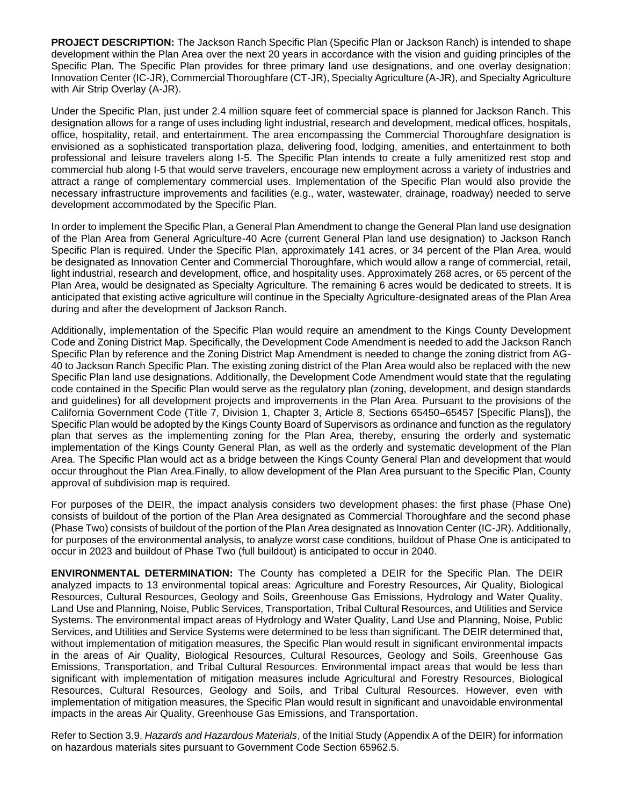**PROJECT DESCRIPTION:** The Jackson Ranch Specific Plan (Specific Plan or Jackson Ranch) is intended to shape development within the Plan Area over the next 20 years in accordance with the vision and guiding principles of the Specific Plan. The Specific Plan provides for three primary land use designations, and one overlay designation: Innovation Center (IC-JR), Commercial Thoroughfare (CT-JR), Specialty Agriculture (A-JR), and Specialty Agriculture with Air Strip Overlay (A-JR).

Under the Specific Plan, just under 2.4 million square feet of commercial space is planned for Jackson Ranch. This designation allows for a range of uses including light industrial, research and development, medical offices, hospitals, office, hospitality, retail, and entertainment. The area encompassing the Commercial Thoroughfare designation is envisioned as a sophisticated transportation plaza, delivering food, lodging, amenities, and entertainment to both professional and leisure travelers along I-5. The Specific Plan intends to create a fully amenitized rest stop and commercial hub along I-5 that would serve travelers, encourage new employment across a variety of industries and attract a range of complementary commercial uses. Implementation of the Specific Plan would also provide the necessary infrastructure improvements and facilities (e.g., water, wastewater, drainage, roadway) needed to serve development accommodated by the Specific Plan.

In order to implement the Specific Plan, a General Plan Amendment to change the General Plan land use designation of the Plan Area from General Agriculture-40 Acre (current General Plan land use designation) to Jackson Ranch Specific Plan is required. Under the Specific Plan, approximately 141 acres, or 34 percent of the Plan Area, would be designated as Innovation Center and Commercial Thoroughfare, which would allow a range of commercial, retail, light industrial, research and development, office, and hospitality uses. Approximately 268 acres, or 65 percent of the Plan Area, would be designated as Specialty Agriculture. The remaining 6 acres would be dedicated to streets. It is anticipated that existing active agriculture will continue in the Specialty Agriculture-designated areas of the Plan Area during and after the development of Jackson Ranch.

Additionally, implementation of the Specific Plan would require an amendment to the Kings County Development Code and Zoning District Map. Specifically, the Development Code Amendment is needed to add the Jackson Ranch Specific Plan by reference and the Zoning District Map Amendment is needed to change the zoning district from AG-40 to Jackson Ranch Specific Plan. The existing zoning district of the Plan Area would also be replaced with the new Specific Plan land use designations. Additionally, the Development Code Amendment would state that the regulating code contained in the Specific Plan would serve as the regulatory plan (zoning, development, and design standards and guidelines) for all development projects and improvements in the Plan Area. Pursuant to the provisions of the California Government Code (Title 7, Division 1, Chapter 3, Article 8, Sections 65450–65457 [Specific Plans]), the Specific Plan would be adopted by the Kings County Board of Supervisors as ordinance and function as the regulatory plan that serves as the implementing zoning for the Plan Area, thereby, ensuring the orderly and systematic implementation of the Kings County General Plan, as well as the orderly and systematic development of the Plan Area. The Specific Plan would act as a bridge between the Kings County General Plan and development that would occur throughout the Plan Area.Finally, to allow development of the Plan Area pursuant to the Specific Plan, County approval of subdivision map is required.

For purposes of the DEIR, the impact analysis considers two development phases: the first phase (Phase One) consists of buildout of the portion of the Plan Area designated as Commercial Thoroughfare and the second phase (Phase Two) consists of buildout of the portion of the Plan Area designated as Innovation Center (IC-JR). Additionally, for purposes of the environmental analysis, to analyze worst case conditions, buildout of Phase One is anticipated to occur in 2023 and buildout of Phase Two (full buildout) is anticipated to occur in 2040.

**ENVIRONMENTAL DETERMINATION:** The County has completed a DEIR for the Specific Plan. The DEIR analyzed impacts to 13 environmental topical areas: Agriculture and Forestry Resources, Air Quality, Biological Resources, Cultural Resources, Geology and Soils, Greenhouse Gas Emissions, Hydrology and Water Quality, Land Use and Planning, Noise, Public Services, Transportation, Tribal Cultural Resources, and Utilities and Service Systems. The environmental impact areas of Hydrology and Water Quality, Land Use and Planning, Noise, Public Services, and Utilities and Service Systems were determined to be less than significant. The DEIR determined that, without implementation of mitigation measures, the Specific Plan would result in significant environmental impacts in the areas of Air Quality, Biological Resources, Cultural Resources, Geology and Soils, Greenhouse Gas Emissions, Transportation, and Tribal Cultural Resources. Environmental impact areas that would be less than significant with implementation of mitigation measures include Agricultural and Forestry Resources, Biological Resources, Cultural Resources, Geology and Soils, and Tribal Cultural Resources. However, even with implementation of mitigation measures, the Specific Plan would result in significant and unavoidable environmental impacts in the areas Air Quality, Greenhouse Gas Emissions, and Transportation.

Refer to Section 3.9, *Hazards and Hazardous Materials*, of the Initial Study (Appendix A of the DEIR) for information on hazardous materials sites pursuant to Government Code Section 65962.5.